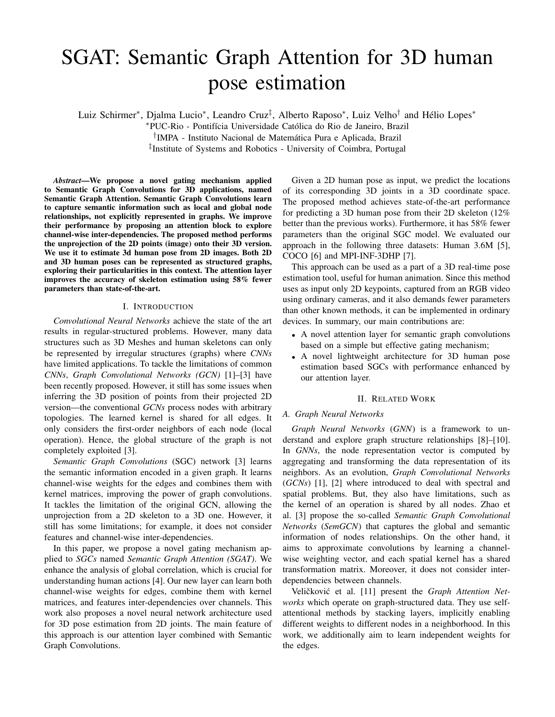# SGAT: Semantic Graph Attention for 3D human pose estimation

Luiz Schirmer\*, Djalma Lucio\*, Leandro Cruz<sup>‡</sup>, Alberto Raposo\*, Luiz Velho<sup>†</sup> and Hélio Lopes\*

\*PUC-Rio - Pontifícia Universidade Católica do Rio de Janeiro, Brazil

<sup>†</sup>IMPA - Instituto Nacional de Matemática Pura e Aplicada, Brazil

‡ Institute of Systems and Robotics - University of Coimbra, Portugal

*Abstract*—We propose a novel gating mechanism applied to Semantic Graph Convolutions for 3D applications, named Semantic Graph Attention. Semantic Graph Convolutions learn to capture semantic information such as local and global node relationships, not explicitly represented in graphs. We improve their performance by proposing an attention block to explore channel-wise inter-dependencies. The proposed method performs the unprojection of the 2D points (image) onto their 3D version. We use it to estimate 3d human pose from 2D images. Both 2D and 3D human poses can be represented as structured graphs, exploring their particularities in this context. The attention layer improves the accuracy of skeleton estimation using 58% fewer parameters than state-of-the-art.

#### I. INTRODUCTION

*Convolutional Neural Networks* achieve the state of the art results in regular-structured problems. However, many data structures such as 3D Meshes and human skeletons can only be represented by irregular structures (graphs) where *CNNs* have limited applications. To tackle the limitations of common *CNNs*, *Graph Convolutional Networks (GCN)* [1]–[3] have been recently proposed. However, it still has some issues when inferring the 3D position of points from their projected 2D version—the conventional *GCNs* process nodes with arbitrary topologies. The learned kernel is shared for all edges. It only considers the first-order neighbors of each node (local operation). Hence, the global structure of the graph is not completely exploited [3].

*Semantic Graph Convolutions* (SGC) network [3] learns the semantic information encoded in a given graph. It learns channel-wise weights for the edges and combines them with kernel matrices, improving the power of graph convolutions. It tackles the limitation of the original GCN, allowing the unprojection from a 2D skeleton to a 3D one. However, it still has some limitations; for example, it does not consider features and channel-wise inter-dependencies.

In this paper, we propose a novel gating mechanism applied to *SGCs* named *Semantic Graph Attention (SGAT)*. We enhance the analysis of global correlation, which is crucial for understanding human actions [4]. Our new layer can learn both channel-wise weights for edges, combine them with kernel matrices, and features inter-dependencies over channels. This work also proposes a novel neural network architecture used for 3D pose estimation from 2D joints. The main feature of this approach is our attention layer combined with Semantic Graph Convolutions.

Given a 2D human pose as input, we predict the locations of its corresponding 3D joints in a 3D coordinate space. The proposed method achieves state-of-the-art performance for predicting a 3D human pose from their 2D skeleton (12% better than the previous works). Furthermore, it has 58% fewer parameters than the original SGC model. We evaluated our approach in the following three datasets: Human 3.6M [5], COCO [6] and MPI-INF-3DHP [7].

This approach can be used as a part of a 3D real-time pose estimation tool, useful for human animation. Since this method uses as input only 2D keypoints, captured from an RGB video using ordinary cameras, and it also demands fewer parameters than other known methods, it can be implemented in ordinary devices. In summary, our main contributions are:

- A novel attention layer for semantic graph convolutions based on a simple but effective gating mechanism;
- A novel lightweight architecture for 3D human pose estimation based SGCs with performance enhanced by our attention layer.

### II. RELATED WORK

#### *A. Graph Neural Networks*

*Graph Neural Networks* (*GNN*) is a framework to understand and explore graph structure relationships [8]–[10]. In *GNNs*, the node representation vector is computed by aggregating and transforming the data representation of its neighbors. As an evolution, *Graph Convolutional Networks* (*GCNs*) [1], [2] where introduced to deal with spectral and spatial problems. But, they also have limitations, such as the kernel of an operation is shared by all nodes. Zhao et al. [3] propose the so-called *Semantic Graph Convolutional Networks* (*SemGCN*) that captures the global and semantic information of nodes relationships. On the other hand, it aims to approximate convolutions by learning a channelwise weighting vector, and each spatial kernel has a shared transformation matrix. Moreover, it does not consider interdependencies between channels.

Veličković et al. [11] present the Graph Attention Net*works* which operate on graph-structured data. They use selfattentional methods by stacking layers, implicitly enabling different weights to different nodes in a neighborhood. In this work, we additionally aim to learn independent weights for the edges.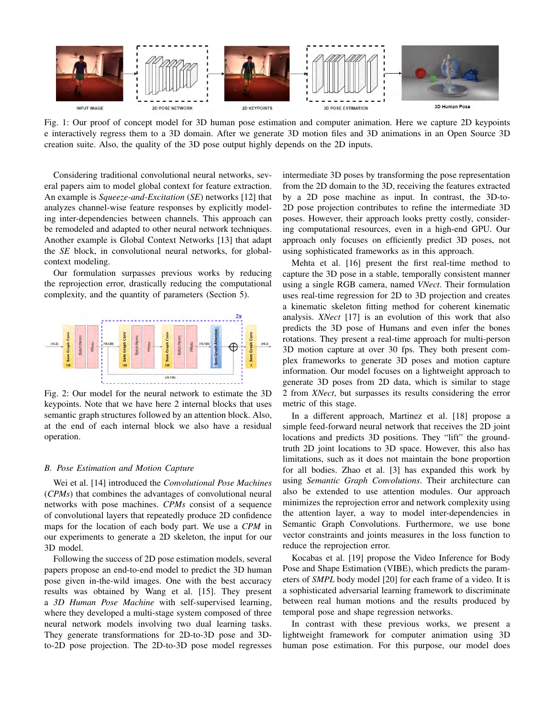

Fig. 1: Our proof of concept model for 3D human pose estimation and computer animation. Here we capture 2D keypoints e interactively regress them to a 3D domain. After we generate 3D motion files and 3D animations in an Open Source 3D creation suite. Also, the quality of the 3D pose output highly depends on the 2D inputs.

Considering traditional convolutional neural networks, several papers aim to model global context for feature extraction. An example is *Squeeze-and-Excitation* (*SE*) networks [12] that analyzes channel-wise feature responses by explicitly modeling inter-dependencies between channels. This approach can be remodeled and adapted to other neural network techniques. Another example is Global Context Networks [13] that adapt the *SE* block, in convolutional neural networks, for globalcontext modeling.

Our formulation surpasses previous works by reducing the reprojection error, drastically reducing the computational complexity, and the quantity of parameters (Section 5).



Fig. 2: Our model for the neural network to estimate the 3D keypoints. Note that we have here 2 internal blocks that uses semantic graph structures followed by an attention block. Also, at the end of each internal block we also have a residual operation.

### *B. Pose Estimation and Motion Capture*

Wei et al. [14] introduced the *Convolutional Pose Machines* (*CPMs*) that combines the advantages of convolutional neural networks with pose machines. *CPMs* consist of a sequence of convolutional layers that repeatedly produce 2D confidence maps for the location of each body part. We use a *CPM* in our experiments to generate a 2D skeleton, the input for our 3D model.

Following the success of 2D pose estimation models, several papers propose an end-to-end model to predict the 3D human pose given in-the-wild images. One with the best accuracy results was obtained by Wang et al. [15]. They present a *3D Human Pose Machine* with self-supervised learning, where they developed a multi-stage system composed of three neural network models involving two dual learning tasks. They generate transformations for 2D-to-3D pose and 3Dto-2D pose projection. The 2D-to-3D pose model regresses intermediate 3D poses by transforming the pose representation from the 2D domain to the 3D, receiving the features extracted by a 2D pose machine as input. In contrast, the 3D-to-2D pose projection contributes to refine the intermediate 3D poses. However, their approach looks pretty costly, considering computational resources, even in a high-end GPU. Our approach only focuses on efficiently predict 3D poses, not using sophisticated frameworks as in this approach.

Mehta et al. [16] present the first real-time method to capture the 3D pose in a stable, temporally consistent manner using a single RGB camera, named *VNect*. Their formulation uses real-time regression for 2D to 3D projection and creates a kinematic skeleton fitting method for coherent kinematic analysis. *XNect* [17] is an evolution of this work that also predicts the 3D pose of Humans and even infer the bones rotations. They present a real-time approach for multi-person 3D motion capture at over 30 fps. They both present complex frameworks to generate 3D poses and motion capture information. Our model focuses on a lightweight approach to generate 3D poses from 2D data, which is similar to stage 2 from *XNect*, but surpasses its results considering the error metric of this stage.

In a different approach, Martinez et al. [18] propose a simple feed-forward neural network that receives the 2D joint locations and predicts 3D positions. They "lift" the groundtruth 2D joint locations to 3D space. However, this also has limitations, such as it does not maintain the bone proportion for all bodies. Zhao et al. [3] has expanded this work by using *Semantic Graph Convolutions*. Their architecture can also be extended to use attention modules. Our approach minimizes the reprojection error and network complexity using the attention layer, a way to model inter-dependencies in Semantic Graph Convolutions. Furthermore, we use bone vector constraints and joints measures in the loss function to reduce the reprojection error.

Kocabas et al. [19] propose the Video Inference for Body Pose and Shape Estimation (VIBE), which predicts the parameters of *SMPL* body model [20] for each frame of a video. It is a sophisticated adversarial learning framework to discriminate between real human motions and the results produced by temporal pose and shape regression networks.

In contrast with these previous works, we present a lightweight framework for computer animation using 3D human pose estimation. For this purpose, our model does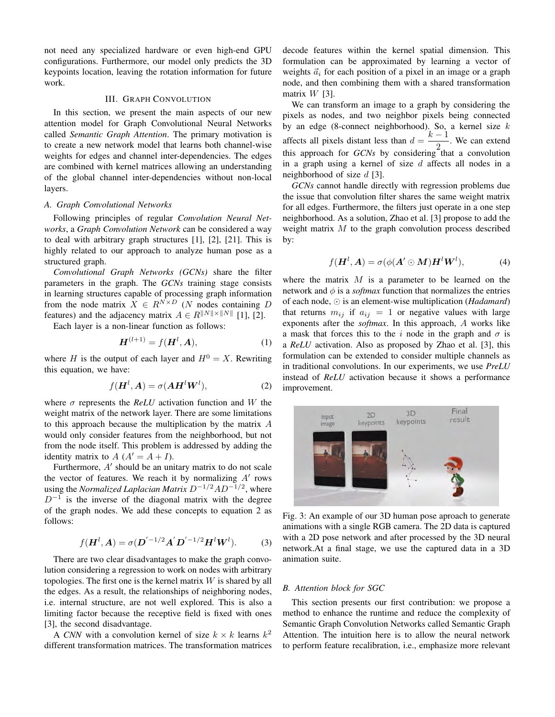not need any specialized hardware or even high-end GPU configurations. Furthermore, our model only predicts the 3D keypoints location, leaving the rotation information for future work.

## III. GRAPH CONVOLUTION

In this section, we present the main aspects of our new attention model for Graph Convolutional Neural Networks called *Semantic Graph Attention*. The primary motivation is to create a new network model that learns both channel-wise weights for edges and channel inter-dependencies. The edges are combined with kernel matrices allowing an understanding of the global channel inter-dependencies without non-local layers.

#### *A. Graph Convolutional Networks*

Following principles of regular *Convolution Neural Networks*, a *Graph Convolution Network* can be considered a way to deal with arbitrary graph structures [1], [2], [21]. This is highly related to our approach to analyze human pose as a structured graph.

*Convolutional Graph Networks (GCNs)* share the filter parameters in the graph. The *GCNs* training stage consists in learning structures capable of processing graph information from the node matrix  $X \in R^{N \times D}$  (N nodes containing D features) and the adjacency matrix  $A \in R^{\|N\| \times \|N\|}$  [1], [2].

Each layer is a non-linear function as follows:

$$
\boldsymbol{H}^{(l+1)} = f(\boldsymbol{H}^l, \boldsymbol{A}),\tag{1}
$$

where H is the output of each layer and  $H^0 = X$ . Rewriting this equation, we have:

$$
f(\boldsymbol{H}^{l}, \boldsymbol{A}) = \sigma(\boldsymbol{A}\boldsymbol{H}^{l}\boldsymbol{W}^{l}),
$$
 (2)

where  $\sigma$  represents the *ReLU* activation function and W the weight matrix of the network layer. There are some limitations to this approach because the multiplication by the matrix A would only consider features from the neighborhood, but not from the node itself. This problem is addressed by adding the identity matrix to  $A(A' = A + I)$ .

Furthermore,  $A'$  should be an unitary matrix to do not scale the vector of features. We reach it by normalizing  $A'$  rows using the *Normalized Laplacian Matrix* D<sup>−</sup>1/<sup>2</sup>AD<sup>−</sup>1/<sup>2</sup> , where  $D^{-1}$  is the inverse of the diagonal matrix with the degree of the graph nodes. We add these concepts to equation 2 as follows:

$$
f(\mathbf{H}^{l}, \mathbf{A}) = \sigma(\mathbf{D}^{'-1/2}\mathbf{A}^{'}\mathbf{D}^{'-1/2}\mathbf{H}^{l}\mathbf{W}^{l}).
$$
 (3)

There are two clear disadvantages to make the graph convolution considering a regression to work on nodes with arbitrary topologies. The first one is the kernel matrix  $W$  is shared by all the edges. As a result, the relationships of neighboring nodes, i.e. internal structure, are not well explored. This is also a limiting factor because the receptive field is fixed with ones [3], the second disadvantage.

A *CNN* with a convolution kernel of size  $k \times k$  learns  $k^2$ different transformation matrices. The transformation matrices decode features within the kernel spatial dimension. This formulation can be approximated by learning a vector of weights  $\vec{a}_i$  for each position of a pixel in an image or a graph node, and then combining them with a shared transformation matrix  $W$  [3].

We can transform an image to a graph by considering the pixels as nodes, and two neighbor pixels being connected by an edge (8-connect neighborhood). So, a kernel size k affects all pixels distant less than  $d = \frac{k-1}{2}$  $\frac{1}{2}$ . We can extend this approach for *GCNs* by considering that a convolution in a graph using a kernel of size  $d$  affects all nodes in a neighborhood of size  $d$  [3].

*GCNs* cannot handle directly with regression problems due the issue that convolution filter shares the same weight matrix for all edges. Furthermore, the filters just operate in a one step neighborhood. As a solution, Zhao et al. [3] propose to add the weight matrix  $M$  to the graph convolution process described by:

$$
f(\boldsymbol{H}^{l}, \boldsymbol{A}) = \sigma(\phi(\boldsymbol{A}^{\prime} \odot \boldsymbol{M}) \boldsymbol{H}^{l} \boldsymbol{W}^{l}), \tag{4}
$$

where the matrix  $M$  is a parameter to be learned on the network and  $\phi$  is a *softmax* function that normalizes the entries of each node,  is an element-wise multiplication (*Hadamard*) that returns  $m_{ij}$  if  $a_{ij} = 1$  or negative values with large exponents after the *softmax*. In this approach, A works like a mask that forces this to the i node in the graph and  $\sigma$  is a *ReLU* activation. Also as proposed by Zhao et al. [3], this formulation can be extended to consider multiple channels as in traditional convolutions. In our experiments, we use *PreLU* instead of *ReLU* activation because it shows a performance improvement.



Fig. 3: An example of our 3D human pose aproach to generate animations with a single RGB camera. The 2D data is captured with a 2D pose network and after processed by the 3D neural network.At a final stage, we use the captured data in a 3D animation suite.

## *B. Attention block for SGC*

This section presents our first contribution: we propose a method to enhance the runtime and reduce the complexity of Semantic Graph Convolution Networks called Semantic Graph Attention. The intuition here is to allow the neural network to perform feature recalibration, i.e., emphasize more relevant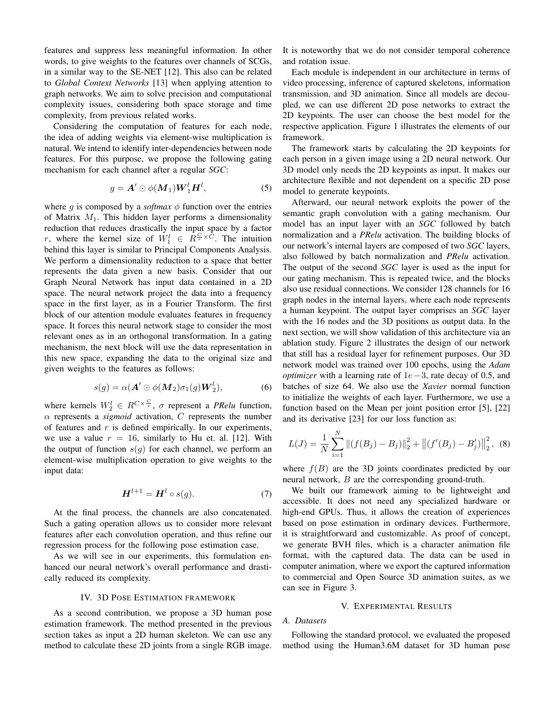features and suppress less meaningful information. In other words, to give weights to the features over channels of SCGs, in a similar way to the SE-NET [12]. This also can be related to *Global Context Networks* [13] when applying attention to graph networks. We aim to solve precision and computational complexity issues, considering both space storage and time complexity, from previous related works.

Considering the computation of features for each node, the idea of adding weights via element-wise multiplication is natural. We intend to identify inter-dependencies between node features. For this purpose, we propose the following gating mechanism for each channel after a regular *SGC*:

$$
g = \boldsymbol{A}' \odot \phi(\boldsymbol{M}_1) \boldsymbol{W}_1^l \boldsymbol{H}^l, \tag{5}
$$

where g is composed by a *softmax*  $\phi$  function over the entries of Matrix  $M_1$ . This hidden layer performs a dimensionality reduction that reduces drastically the input space by a factor r, where the kernel size of  $W_1^l \in \hat{R}^{\frac{C}{r} \times \hat{C}}$ . The intuition behind this layer is similar to Principal Components Analysis. We perform a dimensionality reduction to a space that better represents the data given a new basis. Consider that our Graph Neural Network has input data contained in a 2D space. The neural network project the data into a frequency space in the first layer, as in a Fourier Transform. The first block of our attention module evaluates features in frequency space. It forces this neural network stage to consider the most relevant ones as in an orthogonal transformation. In a gating mechanism, the next block will use the data representation in this new space, expanding the data to the original size and given weights to the features as follows:

$$
s(g) = \alpha(\mathbf{A}' \odot \phi(\mathbf{M}_2)\sigma_1(g)\mathbf{W}_2^l), \tag{6}
$$

where kernels  $W_2^l \in R^{C \times \frac{C}{r}}$ ,  $\sigma$  represent a *PRelu* function,  $\alpha$  represents a *sigmoid* activation, C represents the number of features and  $r$  is defined empirically. In our experiments, we use a value  $r = 16$ , similarly to Hu et. al. [12]. With the output of function  $s(q)$  for each channel, we perform an element-wise multiplication operation to give weights to the input data:

$$
\boldsymbol{H}^{l+1} = \boldsymbol{H}^l \circ s(g). \tag{7}
$$

At the final process, the channels are also concatenated. Such a gating operation allows us to consider more relevant features after each convolution operation, and thus refine our regression process for the following pose estimation case.

As we will see in our experiments, this formulation enhanced our neural network's overall performance and drastically reduced its complexity.

#### IV. 3D POSE ESTIMATION FRAMEWORK

As a second contribution, we propose a 3D human pose estimation framework. The method presented in the previous section takes as input a 2D human skeleton. We can use any method to calculate these 2D joints from a single RGB image. It is noteworthy that we do not consider temporal coherence and rotation issue.

Each module is independent in our architecture in terms of video processing, inference of captured skeletons, information transmission, and 3D animation. Since all models are decoupled, we can use different 2D pose networks to extract the 2D keypoints. The user can choose the best model for the respective application. Figure 1 illustrates the elements of our framework.

The framework starts by calculating the 2D keypoints for each person in a given image using a 2D neural network. Our 3D model only needs the 2D keypoints as input. It makes our architecture flexible and not dependent on a specific 2D pose model to generate keypoints.

Afterward, our neural network exploits the power of the semantic graph convolution with a gating mechanism. Our model has an input layer with an *SGC* followed by batch normalization and a *PRelu* activation. The building blocks of our network's internal layers are composed of two *SGC* layers, also followed by batch normalization and *PRelu* activation. The output of the second *SGC* layer is used as the input for our gating mechanism. This is repeated twice, and the blocks also use residual connections. We consider 128 channels for 16 graph nodes in the internal layers, where each node represents a human keypoint. The output layer comprises an *SGC* layer with the 16 nodes and the 3D positions as output data. In the next section, we will show validation of this architecture via an ablation study. Figure 2 illustrates the design of our network that still has a residual layer for refinement purposes. Our 3D network model was trained over 100 epochs, using the *Adam optimizer* with a learning rate of 1e −3, rate decay of 0.5, and batches of size 64. We also use the *Xavier* normal function to initialize the weights of each layer. Furthermore, we use a function based on the Mean per joint position error [5], [22] and its derivative [23] for our loss function as:

$$
L(J) = \frac{1}{N} \sum_{i=1}^{N} ||(f(B_j) - B_j)||_2^2 + ||(f'(B_j) - B_j')||_2^2, \quad (8)
$$

where  $f(B)$  are the 3D joints coordinates predicted by our neural network, B are the corresponding ground-truth.

We built our framework aiming to be lightweight and accessible. It does not need any specialized hardware or high-end GPUs. Thus, it allows the creation of experiences based on pose estimation in ordinary devices. Furthermore, it is straightforward and customizable. As proof of concept, we generate BVH files, which is a character animation file format, with the captured data. The data can be used in computer animation, where we export the captured information to commercial and Open Source 3D animation suites, as we can see in Figure 3.

#### V. EXPERIMENTAL RESULTS

#### *A. Datasets*

Following the standard protocol, we evaluated the proposed method using the Human3.6M dataset for 3D human pose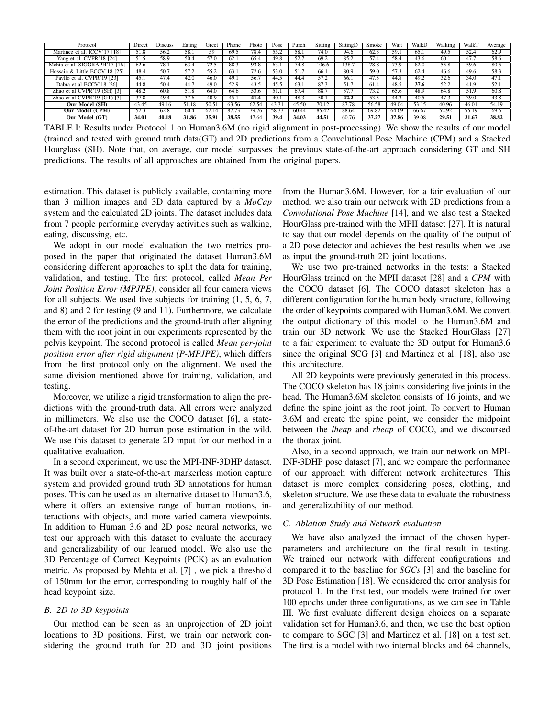| Protocol                      | Direct | <b>Discuss</b> | Eating | Greet | Phone | Photo | Pose  | Purch. | Sitting | SittingD | Smoke | Wait  | WalkD | Walking | WalkT | Average |
|-------------------------------|--------|----------------|--------|-------|-------|-------|-------|--------|---------|----------|-------|-------|-------|---------|-------|---------|
| Martinez et al. ICCV'17 [18]  | 51.8   | 56.2           | 58.1   | 59    | 69.5  | 78.4  | 55.2  | 58.1   | 74.0    | 94.6     | 62.3  | 59.1  | 65.1  | 49.5    | 52.4  | 62.9    |
| Yang et al. CVPR'18 [24]      | 51.5   | 58.9           | 50.4   | 57.0  | 62.1  | 65.4  | 49.8  | 52.7   | 69.2    | 85.2     | 57.4  | 58.4  | 43.6  | 60.1    | 47.7  | 58.6    |
| Mehta et al. SIGGRAPH'17 [16] | 62.6   | 78.1           | 63.4   | 72.5  | 88.3  | 93.8  | 63.1  | 74.8   | 106.6   | 138.7    | 78.8  | 73.9  | 82.0  | 55.8    | 59.6  | 80.5    |
| Hossain & Little ECCV'18 [25] | 48.4   | 50.7           | 57.2   | 55.2  | 63.1  | 72.6  | 53.0  | 51.7   | 66.1    | 80.9     | 59.0  | 57.3  | 62.4  | 46.6    | 49.6  | 58.3    |
| Pavllo et al. CVPR'19 [23]    | 45.1   | 47.4           | 42.0   | 46.0  | 49.1  | 56.7  | 44.5  | 44.4   | 57.2    | 66.1     | 47.5  | 44.8  | 49.2  | 32.6    | 34.0  | 47.1    |
| Dabra et al ECCV'18 [26]      | 44.8   | 50.4           | 44.7   | 49.0  | 52.9  | 43.5  | 45.5  | 63.1   | 87.3    | 51.7     | 61.4  | 48.5  | 37.6  | 52.2    | 41.9  | 52.1    |
| Zhao et al CVPR'19 (SH) [3]   | 48.2   | 60.8           | 51.8   | 64.0  | 64.6  | 53.6  | 51.1  | 67.4   | 88.7    | 57.7     | 73.2  | 65.6  | 48.9  | 64.8    | 51.9  | 60.8    |
| Zhao et al CVPR'19 (GT) [3]   | 37.8   | 49.4           | 37.6   | 40.9  | 45.1  | 41.4  | 40.1  | 48.3   | 50.1    | 42.2     | 53.5  | 44.3  | 40.5  | 47.3    | 39.0  | 43.8    |
| Our Model (SH)                | 43.45  | 49.16          | 51.18  | 50.51 | 63.56 | 62.54 | 43.31 | 45.50  | 70.12   | 87.78    | 56.58 | 49.04 | 53.15 | 40.96   | 46.01 | 54.19   |
| Our Model (CPM)               | 52.3   | 62.8           | 60.4   | 62.14 | 87.73 | 79.76 | 58.33 | 60.44  | 85.42   | 88.64    | 69.82 | 64.69 | 66.67 | 52.92   | 55.19 | 69.5    |
| Our Model (GT)                | 34.01  | 40.18          | 31.86  | 35.91 | 38.55 | 47.64 | 39.4  | 34.03  | 44.51   | 60.76    | 37.27 | 37.86 | 39.08 | 29.51   | 31.67 | 38.82   |

TABLE I: Results under Protocol 1 on Human3.6M (no rigid alignment in post-processing). We show the results of our model (trained and tested with ground truth data(GT) and 2D predictions from a Convolutional Pose Machine (CPM) and a Stacked Hourglass (SH). Note that, on average, our model surpasses the previous state-of-the-art approach considering GT and SH predictions. The results of all approaches are obtained from the original papers.

estimation. This dataset is publicly available, containing more than 3 million images and 3D data captured by a *MoCap* system and the calculated 2D joints. The dataset includes data from 7 people performing everyday activities such as walking, eating, discussing, etc.

We adopt in our model evaluation the two metrics proposed in the paper that originated the dataset Human3.6M considering different approaches to split the data for training, validation, and testing. The first protocol, called *Mean Per Joint Position Error (MPJPE)*, consider all four camera views for all subjects. We used five subjects for training (1, 5, 6, 7, and 8) and 2 for testing (9 and 11). Furthermore, we calculate the error of the predictions and the ground-truth after aligning them with the root joint in our experiments represented by the pelvis keypoint. The second protocol is called *Mean per-joint position error after rigid alignment (P-MPJPE)*, which differs from the first protocol only on the alignment. We used the same division mentioned above for training, validation, and testing.

Moreover, we utilize a rigid transformation to align the predictions with the ground-truth data. All errors were analyzed in millimeters. We also use the COCO dataset [6], a stateof-the-art dataset for 2D human pose estimation in the wild. We use this dataset to generate 2D input for our method in a qualitative evaluation.

In a second experiment, we use the MPI-INF-3DHP dataset. It was built over a state-of-the-art markerless motion capture system and provided ground truth 3D annotations for human poses. This can be used as an alternative dataset to Human3.6, where it offers an extensive range of human motions, interactions with objects, and more varied camera viewpoints. In addition to Human 3.6 and 2D pose neural networks, we test our approach with this dataset to evaluate the accuracy and generalizability of our learned model. We also use the 3D Percentage of Correct Keypoints (PCK) as an evaluation metric. As proposed by Mehta et al. [7] , we pick a threshold of 150mm for the error, corresponding to roughly half of the head keypoint size.

# *B. 2D to 3D keypoints*

Our method can be seen as an unprojection of 2D joint locations to 3D positions. First, we train our network considering the ground truth for 2D and 3D joint positions from the Human3.6M. However, for a fair evaluation of our method, we also train our network with 2D predictions from a *Convolutional Pose Machine* [14], and we also test a Stacked HourGlass pre-trained with the MPII dataset [27]. It is natural to say that our model depends on the quality of the output of a 2D pose detector and achieves the best results when we use as input the ground-truth 2D joint locations.

We use two pre-trained networks in the tests: a Stacked HourGlass trained on the MPII dataset [28] and a *CPM* with the COCO dataset [6]. The COCO dataset skeleton has a different configuration for the human body structure, following the order of keypoints compared with Human3.6M. We convert the output dictionary of this model to the Human3.6M and train our 3D network. We use the Stacked HourGlass [27] to a fair experiment to evaluate the 3D output for Human3.6 since the original SCG [3] and Martinez et al. [18], also use this architecture.

All 2D keypoints were previously generated in this process. The COCO skeleton has 18 joints considering five joints in the head. The Human3.6M skeleton consists of 16 joints, and we define the spine joint as the root joint. To convert to Human 3.6M and create the spine point, we consider the midpoint between the *lheap* and *rheap* of COCO, and we discoursed the thorax joint.

Also, in a second approach, we train our network on MPI-INF-3DHP pose dataset [7], and we compare the performance of our approach with different network architectures. This dataset is more complex considering poses, clothing, and skeleton structure. We use these data to evaluate the robustness and generalizability of our method.

# *C. Ablation Study and Network evaluation*

We have also analyzed the impact of the chosen hyperparameters and architecture on the final result in testing. We trained our network with different configurations and compared it to the baseline for *SGCs* [3] and the baseline for 3D Pose Estimation [18]. We considered the error analysis for protocol 1. In the first test, our models were trained for over 100 epochs under three configurations, as we can see in Table III. We first evaluate different design choices on a separate validation set for Human3.6, and then, we use the best option to compare to SGC [3] and Martinez et al. [18] on a test set. The first is a model with two internal blocks and 64 channels,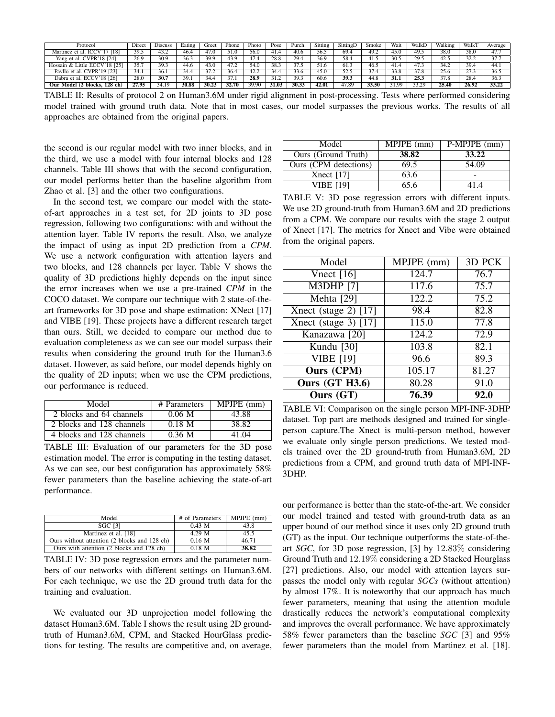| Protocol                      | Direct | <b>Discuss</b>  | Eating | Greet           | Phone | Photo | Pose           | Purch. | Sitting | SittingI       | Smoke      | Wait  | WalkD | Walking | <b>Walk1</b> | Average |
|-------------------------------|--------|-----------------|--------|-----------------|-------|-------|----------------|--------|---------|----------------|------------|-------|-------|---------|--------------|---------|
| Martinez et al. ICCV'17 [18]  | 39.5   | T. J. <i>L.</i> |        | 47.0            | 51.0  | 56.0  | 41.4           | 40.6   | 56.5    | 69.4           | 49.2       | 45.0  | 49.5  | 38.0    | 38.0         | 47.7    |
| Yang et al. CVPR'18 [24]      | 26.9   | 30.9            | 36.3   | 39.9            | 43.9  | 47.4  | 28.8           | 29.4   | 36.9    | 58.4           | 41.5       | 30.5  | 29.5  | 42.5    | 32.2         | 37.7    |
| Hossain & Little ECCV'18 [25] | 357    | 39.3            | 44.6   | 43.0            | 47.2  | .54.C | 38.3           |        | 51.6    | 61.            | 46.5       | 41.4  | 47.3  | 34.2    | 39.4         | 44.1    |
| Pavllo et al. CVPR'19 [23]    | 34.    | 36.             | -275   | 37 <sub>1</sub> | 36.4  | 42.2  | 34.4           | 33.6   | 45.0    | 52.5<br>۵۵۰۰ ک | 27<br>۰٬۰۰ | 33.8  | 37.8  | 25.6    | 27.3         | 36.5    |
| Dabra et al. ECCV'18 [26]     | 28.0   | 30.7            | 39.1   | 34.4            | 37.   | 28.9  | 31 G<br>ے ، اب | 39.3   | 60.6    | 39.3           | 44.8       | 31.1  | 25.3  | 37.8    | 28.4         | 36.3    |
| Our Model (2 blocks, 128 ch)  | 27.95  | l 1 C           | 30.88  | 30.23           | 32.70 | 39.90 | 31.03          | 30.33  | 42.01   | 47.89          | 33.50      | 31.99 | 33.29 | 25.40   | 26.92        | 33.22   |

TABLE II: Results of protocol 2 on Human3.6M under rigid alignment in post-processing. Tests where performed considering model trained with ground truth data. Note that in most cases, our model surpasses the previous works. The results of all approaches are obtained from the original papers.

the second is our regular model with two inner blocks, and in the third, we use a model with four internal blocks and 128 channels. Table III shows that with the second configuration, our model performs better than the baseline algorithm from Zhao et al. [3] and the other two configurations.

In the second test, we compare our model with the stateof-art approaches in a test set, for 2D joints to 3D pose regression, following two configurations: with and without the attention layer. Table IV reports the result. Also, we analyze the impact of using as input 2D prediction from a *CPM*. We use a network configuration with attention layers and two blocks, and 128 channels per layer. Table V shows the quality of 3D predictions highly depends on the input since the error increases when we use a pre-trained *CPM* in the COCO dataset. We compare our technique with 2 state-of-theart frameworks for 3D pose and shape estimation: XNect [17] and VIBE [19]. These projects have a different research target than ours. Still, we decided to compare our method due to evaluation completeness as we can see our model surpass their results when considering the ground truth for the Human3.6 dataset. However, as said before, our model depends highly on the quality of 2D inputs; when we use the CPM predictions, our performance is reduced.

| Model                     | # Parameters | MPJPE (mm) |
|---------------------------|--------------|------------|
| 2 blocks and 64 channels  | 0.06 M       | 43.88      |
| 2 blocks and 128 channels | $0.18$ M     | 38.82      |
| 4 blocks and 128 channels | 0.36 M       | 41.04      |

TABLE III: Evaluation of our parameters for the 3D pose estimation model. The error is computing in the testing dataset. As we can see, our best configuration has approximately 58% fewer parameters than the baseline achieving the state-of-art performance.

| Model                                        | # of Parameters | $MPJPE$ (mm) |
|----------------------------------------------|-----------------|--------------|
| <b>SGC [3]</b>                               | 0.43 M          | 43.8         |
| Martinez et al. [18]                         | 4.29 M          | 45.5         |
| Ours without attention (2 blocks and 128 ch) | 0.16 M          | 4671         |
| Ours with attention (2 blocks and 128 ch)    | $0.18$ M        | 38.82        |

TABLE IV: 3D pose regression errors and the parameter numbers of our networks with different settings on Human3.6M. For each technique, we use the 2D ground truth data for the training and evaluation.

We evaluated our 3D unprojection model following the dataset Human3.6M. Table I shows the result using 2D groundtruth of Human3.6M, CPM, and Stacked HourGlass predictions for testing. The results are competitive and, on average,

| Model                 | MPJPE (mm) | P-MPJPE (mm) |
|-----------------------|------------|--------------|
| Ours (Ground Truth)   | 38.82      | 33.22        |
| Ours (CPM detections) | 69.5       | 54.09        |
| Xnect $[17]$          | 63.6       |              |
| <b>VIBE [19]</b>      | 65.6       | .1 4         |

TABLE V: 3D pose regression errors with different inputs. We use 2D ground-truth from Human3.6M and 2D predictions from a CPM. We compare our results with the stage 2 output of Xnect [17]. The metrics for Xnect and Vibe were obtained from the original papers.

| Model                         | MPJPE (mm) | 3D PCK |
|-------------------------------|------------|--------|
| Vnect $[16]$                  | 124.7      | 76.7   |
| $\overline{\text{M3DHP}}$ [7] | 117.6      | 75.7   |
| Mehta [29]                    | 122.2      | 75.2   |
| Xnect (stage $2)$ [17]        | 98.4       | 82.8   |
| Xnect (stage 3) $[17]$        | 115.0      | 77.8   |
| Kanazawa [20]                 | 124.2      | 72.9   |
| Kundu [30]                    | 103.8      | 82.1   |
| <b>VIBE</b> [19]              | 96.6       | 89.3   |
| <b>Ours (CPM)</b>             | 105.17     | 81.27  |
| <b>Ours (GT H3.6)</b>         | 80.28      | 91.0   |
| Ours $(GT)$                   | 76.39      | 92.0   |

TABLE VI: Comparison on the single person MPI-INF-3DHP dataset. Top part are methods designed and trained for singleperson capture.The Xnect is multi-person method, however we evaluate only single person predictions. We tested models trained over the 2D ground-truth from Human3.6M, 2D predictions from a CPM, and ground truth data of MPI-INF-3DHP.

our performance is better than the state-of-the-art. We consider our model trained and tested with ground-truth data as an upper bound of our method since it uses only 2D ground truth (GT) as the input. Our technique outperforms the state-of-theart *SGC*, for 3D pose regression, [3] by 12.83% considering Ground Truth and 12.19% considering a 2D Stacked Hourglass [27] predictions. Also, our model with attention layers surpasses the model only with regular *SGCs* (without attention) by almost 17%. It is noteworthy that our approach has much fewer parameters, meaning that using the attention module drastically reduces the network's computational complexity and improves the overall performance. We have approximately 58% fewer parameters than the baseline *SGC* [3] and 95% fewer parameters than the model from Martinez et al. [18].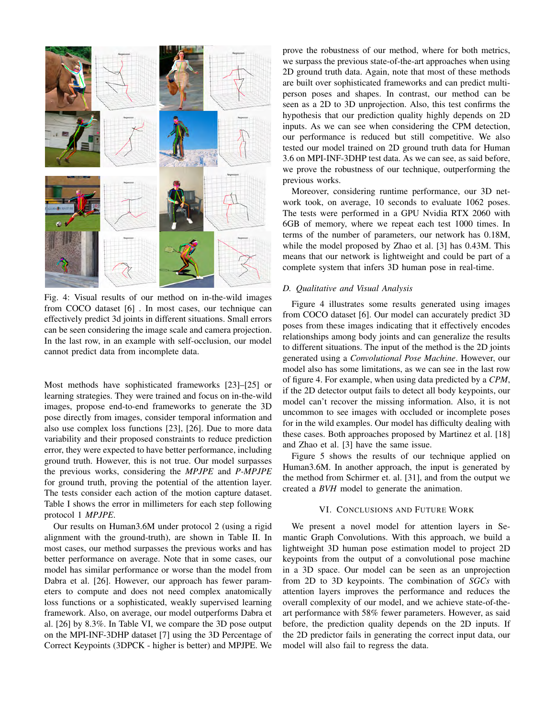

Fig. 4: Visual results of our method on in-the-wild images from COCO dataset [6] . In most cases, our technique can effectively predict 3d joints in different situations. Small errors can be seen considering the image scale and camera projection. In the last row, in an example with self-occlusion, our model cannot predict data from incomplete data.

Most methods have sophisticated frameworks [23]–[25] or learning strategies. They were trained and focus on in-the-wild images, propose end-to-end frameworks to generate the 3D pose directly from images, consider temporal information and also use complex loss functions [23], [26]. Due to more data variability and their proposed constraints to reduce prediction error, they were expected to have better performance, including ground truth. However, this is not true. Our model surpasses the previous works, considering the *MPJPE* and *P-MPJPE* for ground truth, proving the potential of the attention layer. The tests consider each action of the motion capture dataset. Table I shows the error in millimeters for each step following protocol 1 *MPJPE*.

Our results on Human3.6M under protocol 2 (using a rigid alignment with the ground-truth), are shown in Table II. In most cases, our method surpasses the previous works and has better performance on average. Note that in some cases, our model has similar performance or worse than the model from Dabra et al. [26]. However, our approach has fewer parameters to compute and does not need complex anatomically loss functions or a sophisticated, weakly supervised learning framework. Also, on average, our model outperforms Dabra et al. [26] by 8.3%. In Table VI, we compare the 3D pose output on the MPI-INF-3DHP dataset [7] using the 3D Percentage of Correct Keypoints (3DPCK - higher is better) and MPJPE. We

prove the robustness of our method, where for both metrics, we surpass the previous state-of-the-art approaches when using 2D ground truth data. Again, note that most of these methods are built over sophisticated frameworks and can predict multiperson poses and shapes. In contrast, our method can be seen as a 2D to 3D unprojection. Also, this test confirms the hypothesis that our prediction quality highly depends on 2D inputs. As we can see when considering the CPM detection, our performance is reduced but still competitive. We also tested our model trained on 2D ground truth data for Human 3.6 on MPI-INF-3DHP test data. As we can see, as said before, we prove the robustness of our technique, outperforming the previous works.

Moreover, considering runtime performance, our 3D network took, on average, 10 seconds to evaluate 1062 poses. The tests were performed in a GPU Nvidia RTX 2060 with 6GB of memory, where we repeat each test 1000 times. In terms of the number of parameters, our network has 0.18M, while the model proposed by Zhao et al. [3] has 0.43M. This means that our network is lightweight and could be part of a complete system that infers 3D human pose in real-time.

## *D. Qualitative and Visual Analysis*

Figure 4 illustrates some results generated using images from COCO dataset [6]. Our model can accurately predict 3D poses from these images indicating that it effectively encodes relationships among body joints and can generalize the results to different situations. The input of the method is the 2D joints generated using a *Convolutional Pose Machine*. However, our model also has some limitations, as we can see in the last row of figure 4. For example, when using data predicted by a *CPM*, if the 2D detector output fails to detect all body keypoints, our model can't recover the missing information. Also, it is not uncommon to see images with occluded or incomplete poses for in the wild examples. Our model has difficulty dealing with these cases. Both approaches proposed by Martinez et al. [18] and Zhao et al. [3] have the same issue.

Figure 5 shows the results of our technique applied on Human3.6M. In another approach, the input is generated by the method from Schirmer et. al. [31], and from the output we created a *BVH* model to generate the animation.

#### VI. CONCLUSIONS AND FUTURE WORK

We present a novel model for attention layers in Semantic Graph Convolutions. With this approach, we build a lightweight 3D human pose estimation model to project 2D keypoints from the output of a convolutional pose machine in a 3D space. Our model can be seen as an unprojection from 2D to 3D keypoints. The combination of *SGCs* with attention layers improves the performance and reduces the overall complexity of our model, and we achieve state-of-theart performance with 58% fewer parameters. However, as said before, the prediction quality depends on the 2D inputs. If the 2D predictor fails in generating the correct input data, our model will also fail to regress the data.